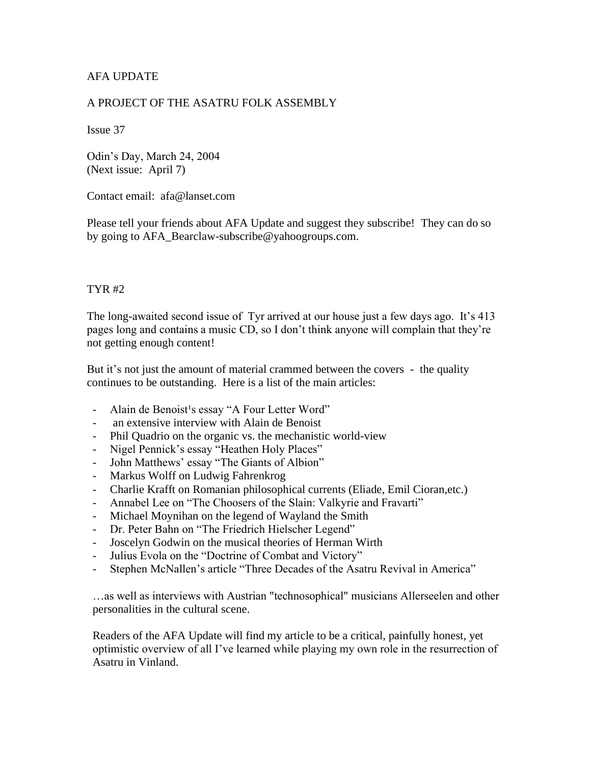# AFA UPDATE

### A PROJECT OF THE ASATRU FOLK ASSEMBLY

Issue 37

Odin's Day, March 24, 2004 (Next issue: April 7)

Contact email: afa@lanset.com

Please tell your friends about AFA Update and suggest they subscribe! They can do so by going to AFA\_Bearclaw-subscribe@yahoogroups.com.

### TYR #2

The long-awaited second issue of Tyr arrived at our house just a few days ago. It's 413 pages long and contains a music CD, so I don't think anyone will complain that they're not getting enough content!

But it's not just the amount of material crammed between the covers - the quality continues to be outstanding. Here is a list of the main articles:

- Alain de Benoist<sup>1</sup>s essay "A Four Letter Word"
- an extensive interview with Alain de Benoist
- Phil Quadrio on the organic vs. the mechanistic world-view
- Nigel Pennick's essay "Heathen Holy Places"
- John Matthews' essay "The Giants of Albion"
- Markus Wolff on Ludwig Fahrenkrog
- Charlie Krafft on Romanian philosophical currents (Eliade, Emil Cioran,etc.)
- Annabel Lee on "The Choosers of the Slain: Valkyrie and Fravarti"
- Michael Moynihan on the legend of Wayland the Smith
- Dr. Peter Bahn on "The Friedrich Hielscher Legend"
- Joscelyn Godwin on the musical theories of Herman Wirth
- Julius Evola on the "Doctrine of Combat and Victory"
- Stephen McNallen's article "Three Decades of the Asatru Revival in America"

…as well as interviews with Austrian "technosophical" musicians Allerseelen and other personalities in the cultural scene.

Readers of the AFA Update will find my article to be a critical, painfully honest, yet optimistic overview of all I've learned while playing my own role in the resurrection of Asatru in Vinland.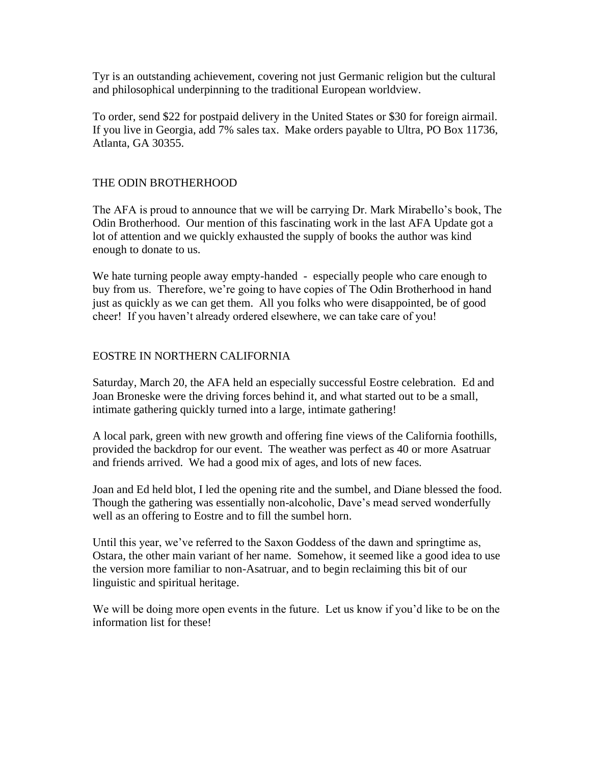Tyr is an outstanding achievement, covering not just Germanic religion but the cultural and philosophical underpinning to the traditional European worldview.

To order, send \$22 for postpaid delivery in the United States or \$30 for foreign airmail. If you live in Georgia, add 7% sales tax. Make orders payable to Ultra, PO Box 11736, Atlanta, GA 30355.

## THE ODIN BROTHERHOOD

The AFA is proud to announce that we will be carrying Dr. Mark Mirabello's book, The Odin Brotherhood. Our mention of this fascinating work in the last AFA Update got a lot of attention and we quickly exhausted the supply of books the author was kind enough to donate to us.

We hate turning people away empty-handed - especially people who care enough to buy from us. Therefore, we're going to have copies of The Odin Brotherhood in hand just as quickly as we can get them. All you folks who were disappointed, be of good cheer! If you haven't already ordered elsewhere, we can take care of you!

#### EOSTRE IN NORTHERN CALIFORNIA

Saturday, March 20, the AFA held an especially successful Eostre celebration. Ed and Joan Broneske were the driving forces behind it, and what started out to be a small, intimate gathering quickly turned into a large, intimate gathering!

A local park, green with new growth and offering fine views of the California foothills, provided the backdrop for our event. The weather was perfect as 40 or more Asatruar and friends arrived. We had a good mix of ages, and lots of new faces.

Joan and Ed held blot, I led the opening rite and the sumbel, and Diane blessed the food. Though the gathering was essentially non-alcoholic, Dave's mead served wonderfully well as an offering to Eostre and to fill the sumbel horn.

Until this year, we've referred to the Saxon Goddess of the dawn and springtime as, Ostara, the other main variant of her name. Somehow, it seemed like a good idea to use the version more familiar to non-Asatruar, and to begin reclaiming this bit of our linguistic and spiritual heritage.

We will be doing more open events in the future. Let us know if you'd like to be on the information list for these!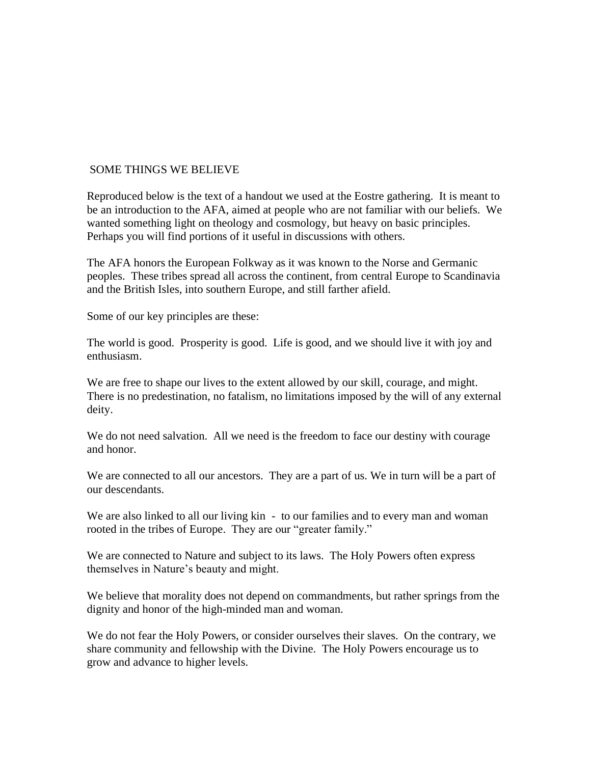#### SOME THINGS WE BELIEVE

Reproduced below is the text of a handout we used at the Eostre gathering. It is meant to be an introduction to the AFA, aimed at people who are not familiar with our beliefs. We wanted something light on theology and cosmology, but heavy on basic principles. Perhaps you will find portions of it useful in discussions with others.

The AFA honors the European Folkway as it was known to the Norse and Germanic peoples. These tribes spread all across the continent, from central Europe to Scandinavia and the British Isles, into southern Europe, and still farther afield.

Some of our key principles are these:

The world is good. Prosperity is good. Life is good, and we should live it with joy and enthusiasm.

We are free to shape our lives to the extent allowed by our skill, courage, and might. There is no predestination, no fatalism, no limitations imposed by the will of any external deity.

We do not need salvation. All we need is the freedom to face our destiny with courage and honor.

We are connected to all our ancestors. They are a part of us. We in turn will be a part of our descendants.

We are also linked to all our living kin - to our families and to every man and woman rooted in the tribes of Europe. They are our "greater family."

We are connected to Nature and subject to its laws. The Holy Powers often express themselves in Nature's beauty and might.

We believe that morality does not depend on commandments, but rather springs from the dignity and honor of the high-minded man and woman.

We do not fear the Holy Powers, or consider ourselves their slaves. On the contrary, we share community and fellowship with the Divine. The Holy Powers encourage us to grow and advance to higher levels.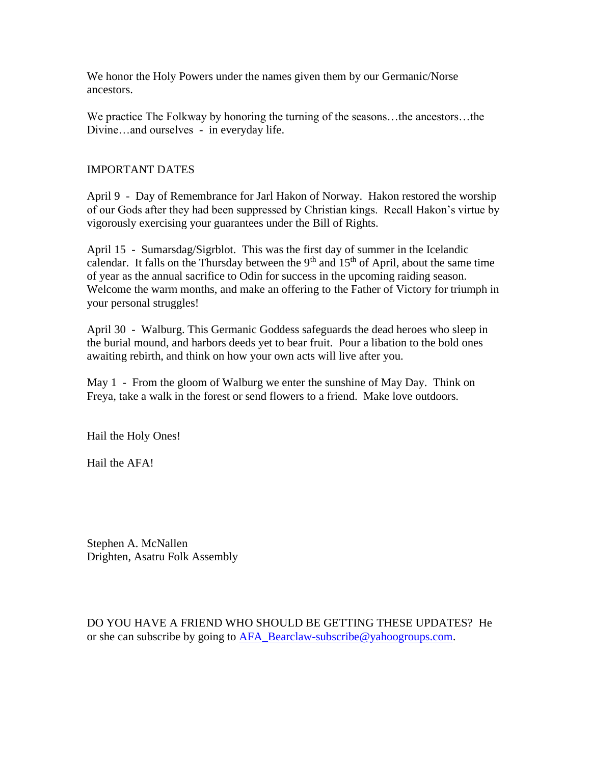We honor the Holy Powers under the names given them by our Germanic/Norse ancestors.

We practice The Folkway by honoring the turning of the seasons…the ancestors…the Divine…and ourselves - in everyday life.

## IMPORTANT DATES

April 9 - Day of Remembrance for Jarl Hakon of Norway. Hakon restored the worship of our Gods after they had been suppressed by Christian kings. Recall Hakon's virtue by vigorously exercising your guarantees under the Bill of Rights.

April 15 - Sumarsdag/Sigrblot. This was the first day of summer in the Icelandic calendar. It falls on the Thursday between the  $9<sup>th</sup>$  and  $15<sup>th</sup>$  of April, about the same time of year as the annual sacrifice to Odin for success in the upcoming raiding season. Welcome the warm months, and make an offering to the Father of Victory for triumph in your personal struggles!

April 30 - Walburg. This Germanic Goddess safeguards the dead heroes who sleep in the burial mound, and harbors deeds yet to bear fruit. Pour a libation to the bold ones awaiting rebirth, and think on how your own acts will live after you.

May 1 - From the gloom of Walburg we enter the sunshine of May Day. Think on Freya, take a walk in the forest or send flowers to a friend. Make love outdoors.

Hail the Holy Ones!

Hail the AFA!

Stephen A. McNallen Drighten, Asatru Folk Assembly

DO YOU HAVE A FRIEND WHO SHOULD BE GETTING THESE UPDATES? He or she can subscribe by going to [AFA\\_Bearclaw-subscribe@yahoogroups.com.](mailto:AFA_Bearclaw-subscribe@yahoogroups.com)